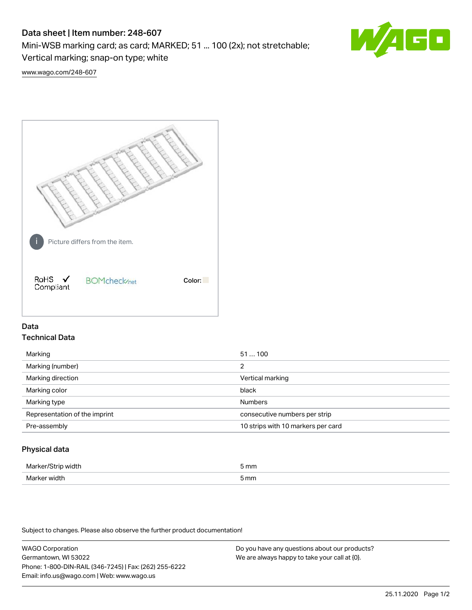# Data sheet | Item number: 248-607

Mini-WSB marking card; as card; MARKED; 51 ... 100 (2x); not stretchable;

Vertical marking; snap-on type; white

60 **W/4** 

[www.wago.com/248-607](http://www.wago.com/248-607)



## Data Technical Data

| Marking                       | 51100                              |
|-------------------------------|------------------------------------|
| Marking (number)              | 2                                  |
| Marking direction             | Vertical marking                   |
| Marking color                 | black                              |
| Marking type                  | <b>Numbers</b>                     |
| Representation of the imprint | consecutive numbers per strip      |
| Pre-assembly                  | 10 strips with 10 markers per card |
|                               |                                    |

## Physical data

| Mar                      | 5 mm |
|--------------------------|------|
| M <sub>cr</sub><br>width | 5 mm |

Subject to changes. Please also observe the further product documentation!

WAGO Corporation Germantown, WI 53022 Phone: 1-800-DIN-RAIL (346-7245) | Fax: (262) 255-6222 Email: info.us@wago.com | Web: www.wago.us Do you have any questions about our products? We are always happy to take your call at {0}.